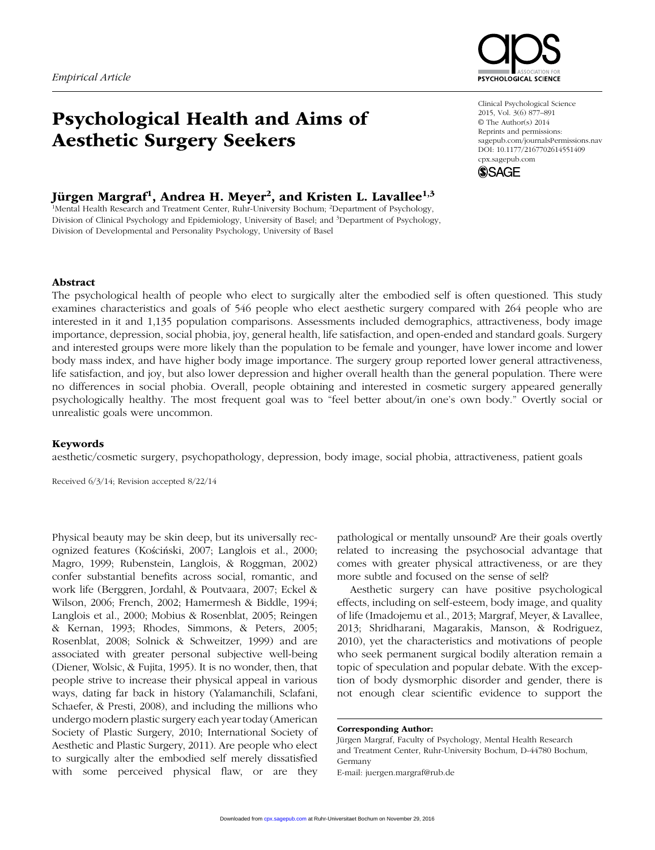# Psychological Health and Aims of Aesthetic Surgery Seekers

## Jürgen Margraf<sup>1</sup>, Andrea H. Meyer<sup>2</sup>, and Kristen L. Lavallee<sup>1,3</sup>

<sup>1</sup>Mental Health Research and Treatment Center, Ruhr-University Bochum; <sup>2</sup>Department of Psychology, Division of Clinical Psychology and Epidemiology, University of Basel; and <sup>3</sup>Department of Psychology, Division of Developmental and Personality Psychology, University of Basel



Clinical Psychological Science 2015, Vol. 3(6) 877–891 © The Author(s) 2014 Reprints and permissions: sagepub.com/journalsPermissions.nav DOI: 10.1177/2167702614551409 cpx.sagepub.com



## Abstract

The psychological health of people who elect to surgically alter the embodied self is often questioned. This study examines characteristics and goals of 546 people who elect aesthetic surgery compared with 264 people who are interested in it and 1,135 population comparisons. Assessments included demographics, attractiveness, body image importance, depression, social phobia, joy, general health, life satisfaction, and open-ended and standard goals. Surgery and interested groups were more likely than the population to be female and younger, have lower income and lower body mass index, and have higher body image importance. The surgery group reported lower general attractiveness, life satisfaction, and joy, but also lower depression and higher overall health than the general population. There were no differences in social phobia. Overall, people obtaining and interested in cosmetic surgery appeared generally psychologically healthy. The most frequent goal was to "feel better about/in one's own body." Overtly social or unrealistic goals were uncommon.

## Keywords

aesthetic/cosmetic surgery, psychopathology, depression, body image, social phobia, attractiveness, patient goals

Received 6/3/14; Revision accepted 8/22/14

Physical beauty may be skin deep, but its universally recognized features (Kościński, 2007; Langlois et al., 2000; Magro, 1999; Rubenstein, Langlois, & Roggman, 2002) confer substantial benefits across social, romantic, and work life (Berggren, Jordahl, & Poutvaara, 2007; Eckel & Wilson, 2006; French, 2002; Hamermesh & Biddle, 1994; Langlois et al., 2000; Mobius & Rosenblat, 2005; Reingen & Kernan, 1993; Rhodes, Simmons, & Peters, 2005; Rosenblat, 2008; Solnick & Schweitzer, 1999) and are associated with greater personal subjective well-being (Diener, Wolsic, & Fujita, 1995). It is no wonder, then, that people strive to increase their physical appeal in various ways, dating far back in history (Yalamanchili, Sclafani, Schaefer, & Presti, 2008), and including the millions who undergo modern plastic surgery each year today (American Society of Plastic Surgery, 2010; International Society of Aesthetic and Plastic Surgery, 2011). Are people who elect to surgically alter the embodied self merely dissatisfied with some perceived physical flaw, or are they

pathological or mentally unsound? Are their goals overtly related to increasing the psychosocial advantage that comes with greater physical attractiveness, or are they more subtle and focused on the sense of self?

Aesthetic surgery can have positive psychological effects, including on self-esteem, body image, and quality of life (Imadojemu et al., 2013; Margraf, Meyer, & Lavallee, 2013; Shridharani, Magarakis, Manson, & Rodriguez, 2010), yet the characteristics and motivations of people who seek permanent surgical bodily alteration remain a topic of speculation and popular debate. With the exception of body dysmorphic disorder and gender, there is not enough clear scientific evidence to support the

Corresponding Author:

Jürgen Margraf, Faculty of Psychology, Mental Health Research and Treatment Center, Ruhr-University Bochum, D-44780 Bochum, Germany E-mail: juergen.margraf@rub.de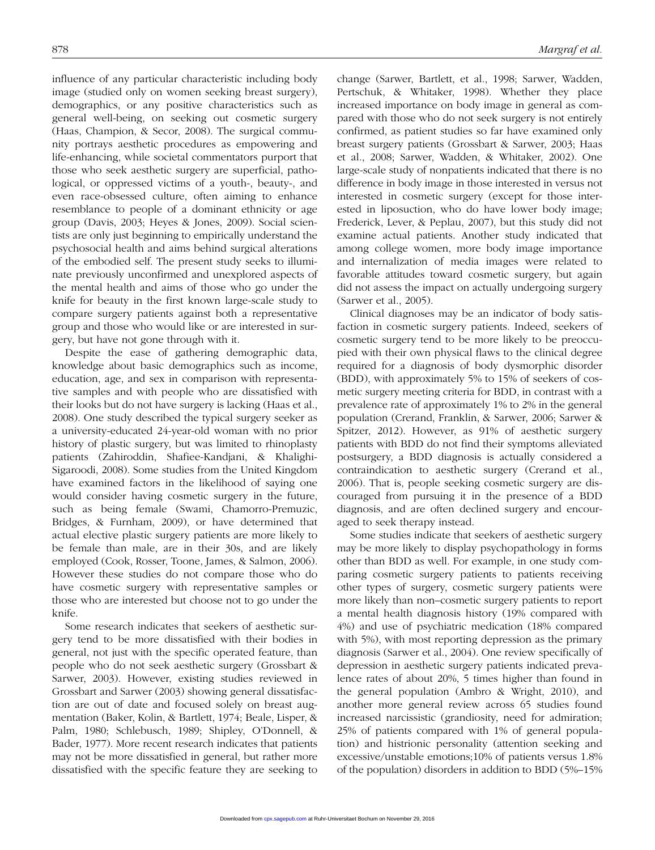influence of any particular characteristic including body image (studied only on women seeking breast surgery), demographics, or any positive characteristics such as general well-being, on seeking out cosmetic surgery (Haas, Champion, & Secor, 2008). The surgical community portrays aesthetic procedures as empowering and life-enhancing, while societal commentators purport that those who seek aesthetic surgery are superficial, pathological, or oppressed victims of a youth-, beauty-, and even race-obsessed culture, often aiming to enhance resemblance to people of a dominant ethnicity or age group (Davis, 2003; Heyes & Jones, 2009). Social scientists are only just beginning to empirically understand the psychosocial health and aims behind surgical alterations of the embodied self. The present study seeks to illuminate previously unconfirmed and unexplored aspects of the mental health and aims of those who go under the knife for beauty in the first known large-scale study to compare surgery patients against both a representative group and those who would like or are interested in surgery, but have not gone through with it.

Despite the ease of gathering demographic data, knowledge about basic demographics such as income, education, age, and sex in comparison with representative samples and with people who are dissatisfied with their looks but do not have surgery is lacking (Haas et al., 2008). One study described the typical surgery seeker as a university-educated 24-year-old woman with no prior history of plastic surgery, but was limited to rhinoplasty patients (Zahiroddin, Shafiee-Kandjani, & Khalighi-Sigaroodi, 2008). Some studies from the United Kingdom have examined factors in the likelihood of saying one would consider having cosmetic surgery in the future, such as being female (Swami, Chamorro-Premuzic, Bridges, & Furnham, 2009), or have determined that actual elective plastic surgery patients are more likely to be female than male, are in their 30s, and are likely employed (Cook, Rosser, Toone, James, & Salmon, 2006). However these studies do not compare those who do have cosmetic surgery with representative samples or those who are interested but choose not to go under the knife.

Some research indicates that seekers of aesthetic surgery tend to be more dissatisfied with their bodies in general, not just with the specific operated feature, than people who do not seek aesthetic surgery (Grossbart & Sarwer, 2003). However, existing studies reviewed in Grossbart and Sarwer (2003) showing general dissatisfaction are out of date and focused solely on breast augmentation (Baker, Kolin, & Bartlett, 1974; Beale, Lisper, & Palm, 1980; Schlebusch, 1989; Shipley, O'Donnell, & Bader, 1977). More recent research indicates that patients may not be more dissatisfied in general, but rather more dissatisfied with the specific feature they are seeking to change (Sarwer, Bartlett, et al., 1998; Sarwer, Wadden, Pertschuk, & Whitaker, 1998). Whether they place increased importance on body image in general as compared with those who do not seek surgery is not entirely confirmed, as patient studies so far have examined only breast surgery patients (Grossbart & Sarwer, 2003; Haas et al., 2008; Sarwer, Wadden, & Whitaker, 2002). One large-scale study of nonpatients indicated that there is no difference in body image in those interested in versus not interested in cosmetic surgery (except for those interested in liposuction, who do have lower body image; Frederick, Lever, & Peplau, 2007), but this study did not examine actual patients. Another study indicated that among college women, more body image importance and internalization of media images were related to favorable attitudes toward cosmetic surgery, but again did not assess the impact on actually undergoing surgery (Sarwer et al., 2005).

Clinical diagnoses may be an indicator of body satisfaction in cosmetic surgery patients. Indeed, seekers of cosmetic surgery tend to be more likely to be preoccupied with their own physical flaws to the clinical degree required for a diagnosis of body dysmorphic disorder (BDD), with approximately 5% to 15% of seekers of cosmetic surgery meeting criteria for BDD, in contrast with a prevalence rate of approximately 1% to 2% in the general population (Crerand, Franklin, & Sarwer, 2006; Sarwer & Spitzer, 2012). However, as 91% of aesthetic surgery patients with BDD do not find their symptoms alleviated postsurgery, a BDD diagnosis is actually considered a contraindication to aesthetic surgery (Crerand et al., 2006). That is, people seeking cosmetic surgery are discouraged from pursuing it in the presence of a BDD diagnosis, and are often declined surgery and encouraged to seek therapy instead.

Some studies indicate that seekers of aesthetic surgery may be more likely to display psychopathology in forms other than BDD as well. For example, in one study comparing cosmetic surgery patients to patients receiving other types of surgery, cosmetic surgery patients were more likely than non–cosmetic surgery patients to report a mental health diagnosis history (19% compared with 4%) and use of psychiatric medication (18% compared with 5%), with most reporting depression as the primary diagnosis (Sarwer et al., 2004). One review specifically of depression in aesthetic surgery patients indicated prevalence rates of about 20%, 5 times higher than found in the general population (Ambro & Wright, 2010), and another more general review across 65 studies found increased narcissistic (grandiosity, need for admiration; 25% of patients compared with 1% of general population) and histrionic personality (attention seeking and excessive/unstable emotions;10% of patients versus 1.8% of the population) disorders in addition to BDD (5%–15%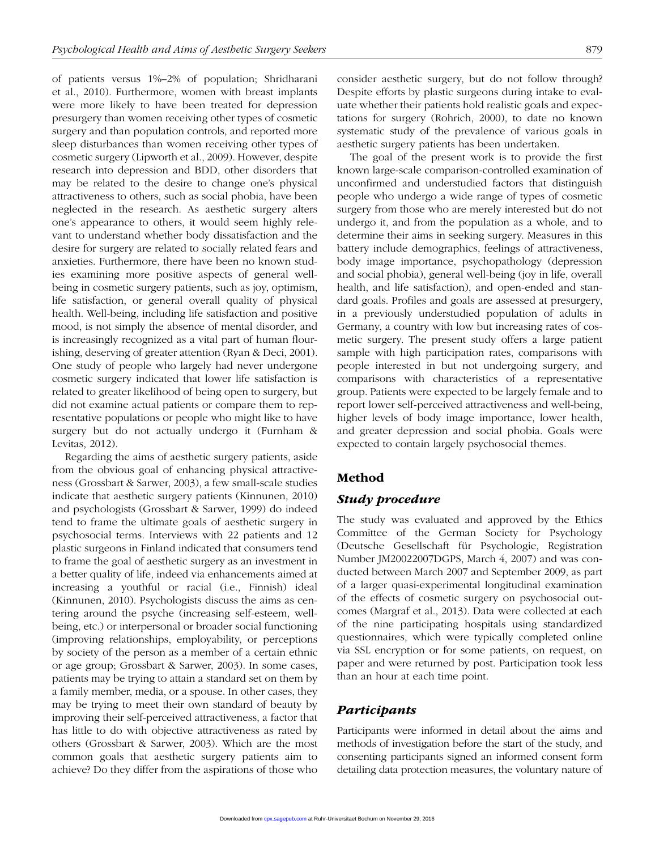of patients versus 1%–2% of population; Shridharani et al., 2010). Furthermore, women with breast implants were more likely to have been treated for depression presurgery than women receiving other types of cosmetic surgery and than population controls, and reported more sleep disturbances than women receiving other types of cosmetic surgery (Lipworth et al., 2009). However, despite research into depression and BDD, other disorders that may be related to the desire to change one's physical attractiveness to others, such as social phobia, have been neglected in the research. As aesthetic surgery alters one's appearance to others, it would seem highly relevant to understand whether body dissatisfaction and the desire for surgery are related to socially related fears and anxieties. Furthermore, there have been no known studies examining more positive aspects of general wellbeing in cosmetic surgery patients, such as joy, optimism, life satisfaction, or general overall quality of physical health. Well-being, including life satisfaction and positive mood, is not simply the absence of mental disorder, and is increasingly recognized as a vital part of human flourishing, deserving of greater attention (Ryan & Deci, 2001). One study of people who largely had never undergone cosmetic surgery indicated that lower life satisfaction is related to greater likelihood of being open to surgery, but did not examine actual patients or compare them to representative populations or people who might like to have surgery but do not actually undergo it (Furnham & Levitas, 2012).

Regarding the aims of aesthetic surgery patients, aside from the obvious goal of enhancing physical attractiveness (Grossbart & Sarwer, 2003), a few small-scale studies indicate that aesthetic surgery patients (Kinnunen, 2010) and psychologists (Grossbart & Sarwer, 1999) do indeed tend to frame the ultimate goals of aesthetic surgery in psychosocial terms. Interviews with 22 patients and 12 plastic surgeons in Finland indicated that consumers tend to frame the goal of aesthetic surgery as an investment in a better quality of life, indeed via enhancements aimed at increasing a youthful or racial (i.e., Finnish) ideal (Kinnunen, 2010). Psychologists discuss the aims as centering around the psyche (increasing self-esteem, wellbeing, etc.) or interpersonal or broader social functioning (improving relationships, employability, or perceptions by society of the person as a member of a certain ethnic or age group; Grossbart & Sarwer, 2003). In some cases, patients may be trying to attain a standard set on them by a family member, media, or a spouse. In other cases, they may be trying to meet their own standard of beauty by improving their self-perceived attractiveness, a factor that has little to do with objective attractiveness as rated by others (Grossbart & Sarwer, 2003). Which are the most common goals that aesthetic surgery patients aim to achieve? Do they differ from the aspirations of those who consider aesthetic surgery, but do not follow through? Despite efforts by plastic surgeons during intake to evaluate whether their patients hold realistic goals and expectations for surgery (Rohrich, 2000), to date no known systematic study of the prevalence of various goals in aesthetic surgery patients has been undertaken.

The goal of the present work is to provide the first known large-scale comparison-controlled examination of unconfirmed and understudied factors that distinguish people who undergo a wide range of types of cosmetic surgery from those who are merely interested but do not undergo it, and from the population as a whole, and to determine their aims in seeking surgery. Measures in this battery include demographics, feelings of attractiveness, body image importance, psychopathology (depression and social phobia), general well-being (joy in life, overall health, and life satisfaction), and open-ended and standard goals. Profiles and goals are assessed at presurgery, in a previously understudied population of adults in Germany, a country with low but increasing rates of cosmetic surgery. The present study offers a large patient sample with high participation rates, comparisons with people interested in but not undergoing surgery, and comparisons with characteristics of a representative group. Patients were expected to be largely female and to report lower self-perceived attractiveness and well-being, higher levels of body image importance, lower health, and greater depression and social phobia. Goals were expected to contain largely psychosocial themes.

## Method

## *Study procedure*

The study was evaluated and approved by the Ethics Committee of the German Society for Psychology (Deutsche Gesellschaft für Psychologie, Registration Number JM20022007DGPS, March 4, 2007) and was conducted between March 2007 and September 2009, as part of a larger quasi-experimental longitudinal examination of the effects of cosmetic surgery on psychosocial outcomes (Margraf et al., 2013). Data were collected at each of the nine participating hospitals using standardized questionnaires, which were typically completed online via SSL encryption or for some patients, on request, on paper and were returned by post. Participation took less than an hour at each time point.

## *Participants*

Participants were informed in detail about the aims and methods of investigation before the start of the study, and consenting participants signed an informed consent form detailing data protection measures, the voluntary nature of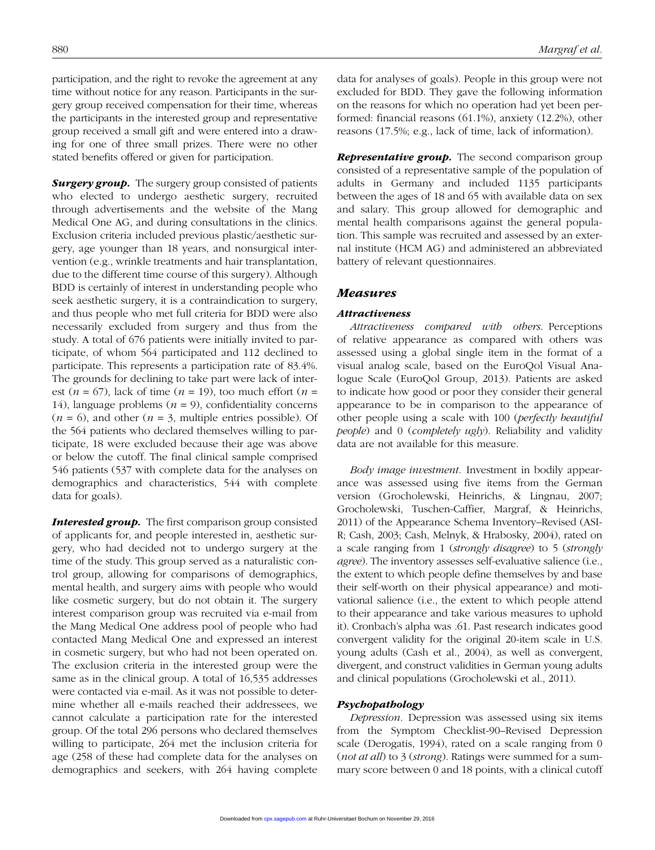participation, and the right to revoke the agreement at any time without notice for any reason. Participants in the surgery group received compensation for their time, whereas the participants in the interested group and representative group received a small gift and were entered into a drawing for one of three small prizes. There were no other stated benefits offered or given for participation.

*Surgery group.* The surgery group consisted of patients who elected to undergo aesthetic surgery, recruited through advertisements and the website of the Mang Medical One AG, and during consultations in the clinics. Exclusion criteria included previous plastic/aesthetic surgery, age younger than 18 years, and nonsurgical intervention (e.g., wrinkle treatments and hair transplantation, due to the different time course of this surgery). Although BDD is certainly of interest in understanding people who seek aesthetic surgery, it is a contraindication to surgery, and thus people who met full criteria for BDD were also necessarily excluded from surgery and thus from the study. A total of 676 patients were initially invited to participate, of whom 564 participated and 112 declined to participate. This represents a participation rate of 83.4%. The grounds for declining to take part were lack of interest ( $n = 67$ ), lack of time ( $n = 19$ ), too much effort ( $n =$ 14), language problems  $(n = 9)$ , confidentiality concerns  $(n = 6)$ , and other  $(n = 3)$ , multiple entries possible). Of the 564 patients who declared themselves willing to participate, 18 were excluded because their age was above or below the cutoff. The final clinical sample comprised 546 patients (537 with complete data for the analyses on demographics and characteristics, 544 with complete data for goals).

*Interested group.* The first comparison group consisted of applicants for, and people interested in, aesthetic surgery, who had decided not to undergo surgery at the time of the study. This group served as a naturalistic control group, allowing for comparisons of demographics, mental health, and surgery aims with people who would like cosmetic surgery, but do not obtain it. The surgery interest comparison group was recruited via e-mail from the Mang Medical One address pool of people who had contacted Mang Medical One and expressed an interest in cosmetic surgery, but who had not been operated on. The exclusion criteria in the interested group were the same as in the clinical group. A total of 16,535 addresses were contacted via e-mail. As it was not possible to determine whether all e-mails reached their addressees, we cannot calculate a participation rate for the interested group. Of the total 296 persons who declared themselves willing to participate, 264 met the inclusion criteria for age (258 of these had complete data for the analyses on demographics and seekers, with 264 having complete data for analyses of goals). People in this group were not excluded for BDD. They gave the following information on the reasons for which no operation had yet been performed: financial reasons (61.1%), anxiety (12.2%), other reasons (17.5%; e.g., lack of time, lack of information).

**Representative group.** The second comparison group consisted of a representative sample of the population of adults in Germany and included 1135 participants between the ages of 18 and 65 with available data on sex and salary. This group allowed for demographic and mental health comparisons against the general population. This sample was recruited and assessed by an external institute (HCM AG) and administered an abbreviated battery of relevant questionnaires.

#### *Measures*

#### *Attractiveness*

*Attractiveness compared with others*. Perceptions of relative appearance as compared with others was assessed using a global single item in the format of a visual analog scale, based on the EuroQol Visual Analogue Scale (EuroQol Group, 2013). Patients are asked to indicate how good or poor they consider their general appearance to be in comparison to the appearance of other people using a scale with 100 (*perfectly beautiful people*) and 0 (*completely ugly*). Reliability and validity data are not available for this measure.

*Body image investment*. Investment in bodily appearance was assessed using five items from the German version (Grocholewski, Heinrichs, & Lingnau, 2007; Grocholewski, Tuschen-Caffier, Margraf, & Heinrichs, 2011) of the Appearance Schema Inventory–Revised (ASI-R; Cash, 2003; Cash, Melnyk, & Hrabosky, 2004), rated on a scale ranging from 1 (*strongly disagree*) to 5 (*strongly agree*). The inventory assesses self-evaluative salience (i.e., the extent to which people define themselves by and base their self-worth on their physical appearance) and motivational salience (i.e., the extent to which people attend to their appearance and take various measures to uphold it). Cronbach's alpha was .61. Past research indicates good convergent validity for the original 20-item scale in U.S. young adults (Cash et al., 2004), as well as convergent, divergent, and construct validities in German young adults and clinical populations (Grocholewski et al., 2011).

#### *Psychopathology*

*Depression*. Depression was assessed using six items from the Symptom Checklist-90–Revised Depression scale (Derogatis, 1994), rated on a scale ranging from 0 (*not at all*) to 3 (*strong*). Ratings were summed for a summary score between 0 and 18 points, with a clinical cutoff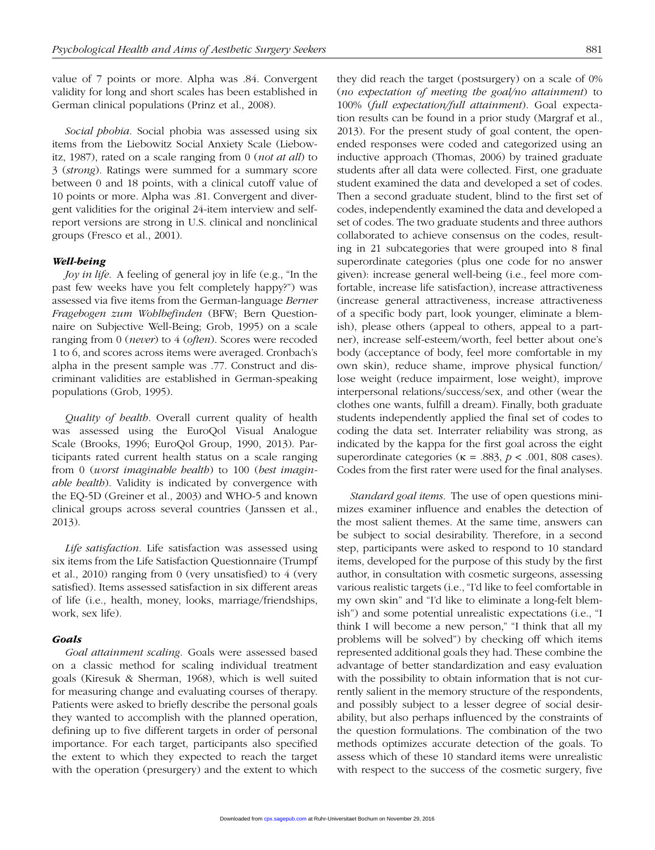value of 7 points or more. Alpha was .84. Convergent validity for long and short scales has been established in German clinical populations (Prinz et al., 2008).

*Social phobia*. Social phobia was assessed using six items from the Liebowitz Social Anxiety Scale (Liebowitz, 1987), rated on a scale ranging from 0 (*not at all*) to 3 (*strong*). Ratings were summed for a summary score between 0 and 18 points, with a clinical cutoff value of 10 points or more. Alpha was .81. Convergent and divergent validities for the original 24-item interview and selfreport versions are strong in U.S. clinical and nonclinical groups (Fresco et al., 2001).

## *Well-being*

*Joy in life.* A feeling of general joy in life (e.g., "In the past few weeks have you felt completely happy?") was assessed via five items from the German-language *Berner Fragebogen zum Wohlbefinden* (BFW; Bern Questionnaire on Subjective Well-Being; Grob, 1995) on a scale ranging from 0 (*never*) to 4 (*often*). Scores were recoded 1 to 6, and scores across items were averaged. Cronbach's alpha in the present sample was .77. Construct and discriminant validities are established in German-speaking populations (Grob, 1995).

*Quality of health*. Overall current quality of health was assessed using the EuroQol Visual Analogue Scale (Brooks, 1996; EuroQol Group, 1990, 2013). Participants rated current health status on a scale ranging from 0 (*worst imaginable health*) to 100 (*best imaginable health*). Validity is indicated by convergence with the EQ-5D (Greiner et al., 2003) and WHO-5 and known clinical groups across several countries (Janssen et al., 2013).

*Life satisfaction*. Life satisfaction was assessed using six items from the Life Satisfaction Questionnaire (Trumpf et al., 2010) ranging from 0 (very unsatisfied) to 4 (very satisfied). Items assessed satisfaction in six different areas of life (i.e., health, money, looks, marriage/friendships, work, sex life).

#### *Goals*

*Goal attainment scaling*. Goals were assessed based on a classic method for scaling individual treatment goals (Kiresuk & Sherman, 1968), which is well suited for measuring change and evaluating courses of therapy. Patients were asked to briefly describe the personal goals they wanted to accomplish with the planned operation, defining up to five different targets in order of personal importance. For each target, participants also specified the extent to which they expected to reach the target with the operation (presurgery) and the extent to which they did reach the target (postsurgery) on a scale of 0% (*no expectation of meeting the goal/no attainment*) to 100% (*full expectation/full attainment*). Goal expectation results can be found in a prior study (Margraf et al., 2013). For the present study of goal content, the openended responses were coded and categorized using an inductive approach (Thomas, 2006) by trained graduate students after all data were collected. First, one graduate student examined the data and developed a set of codes. Then a second graduate student, blind to the first set of codes, independently examined the data and developed a set of codes. The two graduate students and three authors collaborated to achieve consensus on the codes, resulting in 21 subcategories that were grouped into 8 final superordinate categories (plus one code for no answer given): increase general well-being (i.e., feel more comfortable, increase life satisfaction), increase attractiveness (increase general attractiveness, increase attractiveness of a specific body part, look younger, eliminate a blemish), please others (appeal to others, appeal to a partner), increase self-esteem/worth, feel better about one's body (acceptance of body, feel more comfortable in my own skin), reduce shame, improve physical function/ lose weight (reduce impairment, lose weight), improve interpersonal relations/success/sex, and other (wear the clothes one wants, fulfill a dream). Finally, both graduate students independently applied the final set of codes to coding the data set. Interrater reliability was strong, as indicated by the kappa for the first goal across the eight superordinate categories ( $\kappa$  = .883,  $p$  < .001, 808 cases). Codes from the first rater were used for the final analyses.

*Standard goal items*. The use of open questions minimizes examiner influence and enables the detection of the most salient themes. At the same time, answers can be subject to social desirability. Therefore, in a second step, participants were asked to respond to 10 standard items, developed for the purpose of this study by the first author, in consultation with cosmetic surgeons, assessing various realistic targets (i.e., "I'd like to feel comfortable in my own skin" and "I'd like to eliminate a long-felt blemish") and some potential unrealistic expectations (i.e., "I think I will become a new person," "I think that all my problems will be solved") by checking off which items represented additional goals they had. These combine the advantage of better standardization and easy evaluation with the possibility to obtain information that is not currently salient in the memory structure of the respondents, and possibly subject to a lesser degree of social desirability, but also perhaps influenced by the constraints of the question formulations. The combination of the two methods optimizes accurate detection of the goals. To assess which of these 10 standard items were unrealistic with respect to the success of the cosmetic surgery, five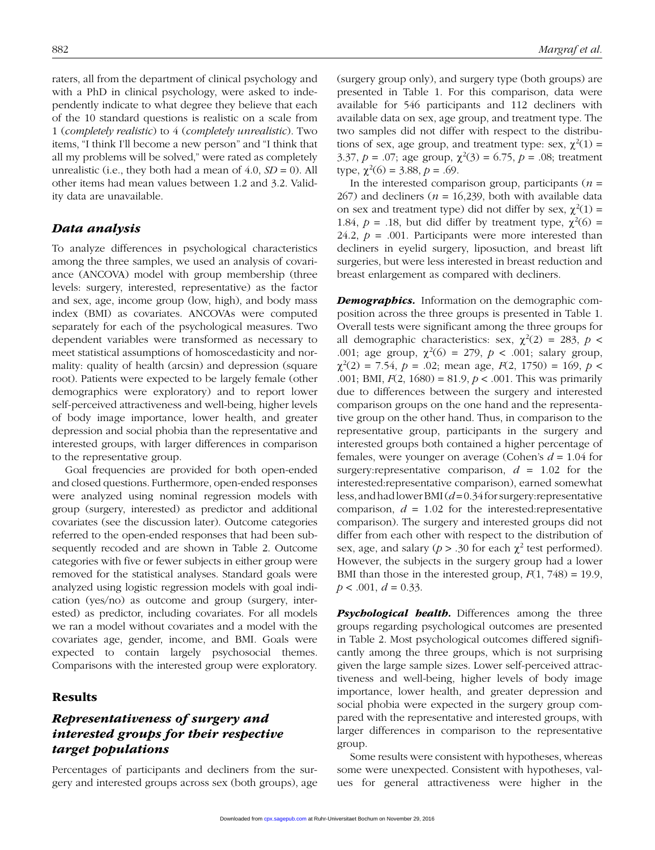raters, all from the department of clinical psychology and with a PhD in clinical psychology, were asked to independently indicate to what degree they believe that each of the 10 standard questions is realistic on a scale from 1 (*completely realistic*) to 4 (*completely unrealistic*). Two items, "I think I'll become a new person" and "I think that all my problems will be solved," were rated as completely unrealistic (i.e., they both had a mean of  $4.0$ ,  $SD = 0$ ). All other items had mean values between 1.2 and 3.2. Validity data are unavailable.

## *Data analysis*

To analyze differences in psychological characteristics among the three samples, we used an analysis of covariance (ANCOVA) model with group membership (three levels: surgery, interested, representative) as the factor and sex, age, income group (low, high), and body mass index (BMI) as covariates. ANCOVAs were computed separately for each of the psychological measures. Two dependent variables were transformed as necessary to meet statistical assumptions of homoscedasticity and normality: quality of health (arcsin) and depression (square root). Patients were expected to be largely female (other demographics were exploratory) and to report lower self-perceived attractiveness and well-being, higher levels of body image importance, lower health, and greater depression and social phobia than the representative and interested groups, with larger differences in comparison to the representative group.

Goal frequencies are provided for both open-ended and closed questions. Furthermore, open-ended responses were analyzed using nominal regression models with group (surgery, interested) as predictor and additional covariates (see the discussion later). Outcome categories referred to the open-ended responses that had been subsequently recoded and are shown in Table 2. Outcome categories with five or fewer subjects in either group were removed for the statistical analyses. Standard goals were analyzed using logistic regression models with goal indication (yes/no) as outcome and group (surgery, interested) as predictor, including covariates. For all models we ran a model without covariates and a model with the covariates age, gender, income, and BMI. Goals were expected to contain largely psychosocial themes. Comparisons with the interested group were exploratory.

## Results

## *Representativeness of surgery and interested groups for their respective target populations*

Percentages of participants and decliners from the surgery and interested groups across sex (both groups), age (surgery group only), and surgery type (both groups) are presented in Table 1. For this comparison, data were available for 546 participants and 112 decliners with available data on sex, age group, and treatment type. The two samples did not differ with respect to the distributions of sex, age group, and treatment type: sex,  $\chi^2(1) =$ 3.37,  $p = .07$ ; age group,  $\chi^2(3) = 6.75$ ,  $p = .08$ ; treatment type,  $\chi^2(6) = 3.88, p = .69$ .

In the interested comparison group, participants  $(n =$ 267) and decliners ( $n = 16,239$ , both with available data on sex and treatment type) did not differ by sex,  $\chi^2(1) =$ 1.84,  $p = 0.18$ , but did differ by treatment type,  $\chi^2(6) =$ 24.2,  $p = .001$ . Participants were more interested than decliners in eyelid surgery, liposuction, and breast lift surgeries, but were less interested in breast reduction and breast enlargement as compared with decliners.

*Demographics.* Information on the demographic composition across the three groups is presented in Table 1. Overall tests were significant among the three groups for all demographic characteristics: sex,  $\chi^2(2) = 283$ ,  $p <$ .001; age group,  $\chi^2$ (6) = 279, *p* < .001; salary group,  $\chi^2(2) = 7.54$ ,  $p = .02$ ; mean age,  $F(2, 1750) = 169$ ,  $p <$ .001; BMI, *F*(2, 1680) = 81.9, *p* < .001. This was primarily due to differences between the surgery and interested comparison groups on the one hand and the representative group on the other hand. Thus, in comparison to the representative group, participants in the surgery and interested groups both contained a higher percentage of females, were younger on average (Cohen's *d* = 1.04 for surgery: representative comparison,  $d = 1.02$  for the interested:representative comparison), earned somewhat less, and had lower BMI (*d* = 0.34 for surgery:representative comparison,  $d = 1.02$  for the interested: representative comparison). The surgery and interested groups did not differ from each other with respect to the distribution of sex, age, and salary ( $p > .30$  for each  $\chi^2$  test performed). However, the subjects in the surgery group had a lower BMI than those in the interested group,  $F(1, 748) = 19.9$ ,  $p < .001, d = 0.33$ .

**Psychological health.** Differences among the three groups regarding psychological outcomes are presented in Table 2. Most psychological outcomes differed significantly among the three groups, which is not surprising given the large sample sizes. Lower self-perceived attractiveness and well-being, higher levels of body image importance, lower health, and greater depression and social phobia were expected in the surgery group compared with the representative and interested groups, with larger differences in comparison to the representative group.

Some results were consistent with hypotheses, whereas some were unexpected. Consistent with hypotheses, values for general attractiveness were higher in the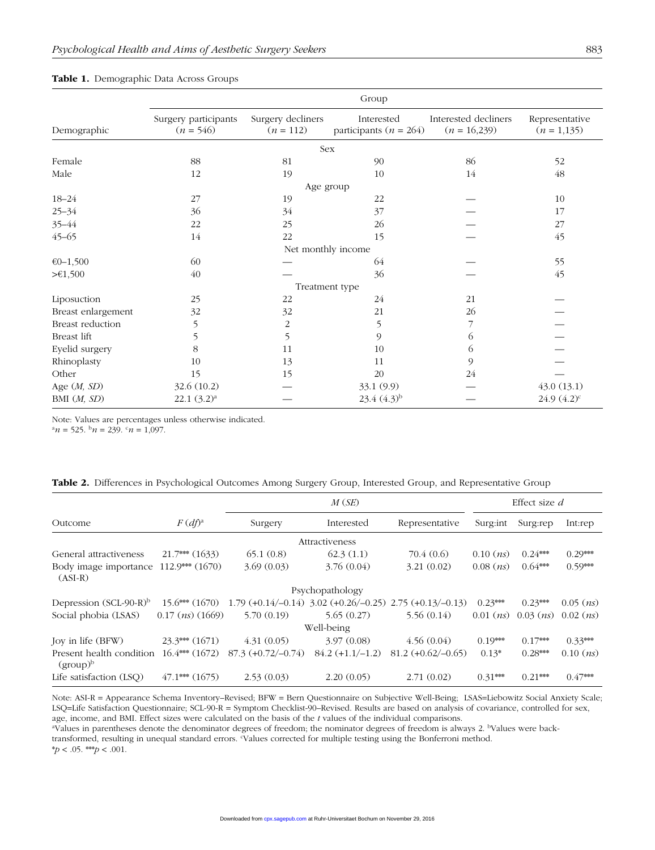| Group              |                                     |                                  |                                          |                                        |                                 |  |  |  |
|--------------------|-------------------------------------|----------------------------------|------------------------------------------|----------------------------------------|---------------------------------|--|--|--|
| Demographic        | Surgery participants<br>$(n = 546)$ | Surgery decliners<br>$(n = 112)$ | Interested<br>participants ( $n = 264$ ) | Interested decliners<br>$(n = 16,239)$ | Representative<br>$(n = 1,135)$ |  |  |  |
|                    |                                     |                                  | Sex                                      |                                        |                                 |  |  |  |
| Female             | 88                                  | 81                               | 90                                       | 86                                     | 52                              |  |  |  |
| Male               | 12                                  | 19                               | 10                                       | 14                                     | 48                              |  |  |  |
|                    |                                     | Age group                        |                                          |                                        |                                 |  |  |  |
| $18 - 24$          | 27                                  | 19                               | 22                                       |                                        | 10                              |  |  |  |
| $25 - 34$          | 36                                  | 34                               | 37                                       |                                        | 17                              |  |  |  |
| 35-44              | 22                                  | 25                               | 26                                       |                                        | 27                              |  |  |  |
| $45 - 65$          | 14                                  | 22                               | 15                                       |                                        | 45                              |  |  |  |
|                    |                                     | Net monthly income               |                                          |                                        |                                 |  |  |  |
| $€0-1,500$         | 60                                  |                                  | 64                                       |                                        | 55                              |  |  |  |
| > 1,500            | 40                                  |                                  | 36                                       |                                        | 45                              |  |  |  |
|                    |                                     |                                  | Treatment type                           |                                        |                                 |  |  |  |
| Liposuction        | 25                                  | 22                               | 24                                       | 21                                     |                                 |  |  |  |
| Breast enlargement | 32                                  | 32                               | 21                                       | 26                                     |                                 |  |  |  |
| Breast reduction   | 5                                   | $\sqrt{2}$                       | 5                                        |                                        |                                 |  |  |  |
| Breast lift        | 5                                   | 5                                | 9                                        | 6                                      |                                 |  |  |  |
| Eyelid surgery     | 8                                   | 11                               | 10                                       | 6                                      |                                 |  |  |  |
| Rhinoplasty        | 10                                  | 13                               | 11                                       | 9                                      |                                 |  |  |  |
| Other              | 15                                  | 15                               | 20                                       | 24                                     |                                 |  |  |  |
| Age $(M, SD)$      | 32.6 (10.2)                         |                                  | 33.1 (9.9)                               |                                        | 43.0(13.1)                      |  |  |  |
| BMI (M, SD)        | $22.1 (3.2)^a$                      |                                  | $23.4(4.3)^{b}$                          |                                        | $24.9(4.2)^c$                   |  |  |  |

#### Table 1. Demographic Data Across Groups

Note: Values are percentages unless otherwise indicated.

 $^{\rm a}n = 525.$   $^{\rm b}n = 239.$   $^{\rm c}n = 1,097.$ 

| Table 2. Differences in Psychological Outcomes Among Surgery Group, Interested Group, and Representative Group |  |
|----------------------------------------------------------------------------------------------------------------|--|
|----------------------------------------------------------------------------------------------------------------|--|

| M(SE)<br>Effect size $d$                |                             |                      |                                                                |                      |               |               |               |  |  |  |
|-----------------------------------------|-----------------------------|----------------------|----------------------------------------------------------------|----------------------|---------------|---------------|---------------|--|--|--|
| Outcome                                 | $F(df)^a$                   | Surgery              | Interested                                                     | Representative       | Surg: int     | Surg:rep      | Int:rep       |  |  |  |
|                                         |                             |                      | Attractiveness                                                 |                      |               |               |               |  |  |  |
| General attractiveness                  | $21.7***$ (1633)            | 65.1(0.8)            | 62.3(1.1)                                                      | 70.4 (0.6)           | $0.10$ $(ns)$ | $0.24***$     | $0.29***$     |  |  |  |
| Body image importance<br>$(ASI-R)$      | $112.9***(1670)$            | 3.69(0.03)           | 3.76(0.04)                                                     | 3.21(0.02)           | $0.08$ $(ns)$ | $0.64***$     | $0.59***$     |  |  |  |
|                                         |                             |                      | Psychopathology                                                |                      |               |               |               |  |  |  |
| Depression $(SCL-90-R)^b$               | $15.6***(1670)$             |                      | $1.79 (+0.14/-0.14)$ $3.02 (+0.26/-0.25)$ $2.75 (+0.13/-0.13)$ |                      | $0.23***$     | $0.23***$     | $0.05$ $(ns)$ |  |  |  |
| Social phobia (LSAS)                    | $0.17$ ( <i>ns</i> ) (1669) | 5.70(0.19)           | 5.65(0.27)                                                     | 5.56(0.14)           | $0.01$ $(ns)$ | $0.03$ $(ns)$ | $0.02$ $(ns)$ |  |  |  |
|                                         |                             |                      | Well-being                                                     |                      |               |               |               |  |  |  |
| Joy in life (BFW)                       | $23.3***$ (1671)            | 4.31(0.05)           | 3.97(0.08)                                                     | 4.56(0.04)           | $0.19***$     | $0.17***$     | $0.33***$     |  |  |  |
| Present health condition<br>$(group)^b$ | $16.4***$ (1672)            | $87.3 (+0.72/-0.74)$ | $84.2 (+1.1/-1.2)$                                             | $81.2 (+0.62/-0.65)$ | $0.13*$       | $0.28***$     | $0.10$ $(ns)$ |  |  |  |
| Life satisfaction (LSO)                 | $47.1***$ (1675)            | 2.53(0.03)           | 2.20(0.05)                                                     | 2.71(0.02)           | $0.31***$     | $0.21***$     | $0.47***$     |  |  |  |

Note: ASI-R = Appearance Schema Inventory–Revised; BFW = Bern Questionnaire on Subjective Well-Being; LSAS=Liebowitz Social Anxiety Scale; LSQ=Life Satisfaction Questionnaire; SCL-90-R = Symptom Checklist-90–Revised. Results are based on analysis of covariance, controlled for sex, age, income, and BMI. Effect sizes were calculated on the basis of the *t* values of the individual comparisons.

<sup>a</sup>Values in parentheses denote the denominator degrees of freedom; the nominator degrees of freedom is always 2. <sup>b</sup>Values were back-

transformed, resulting in unequal standard errors. Values corrected for multiple testing using the Bonferroni method.

 $*p < .05.$  \*\*\* $p < .001.$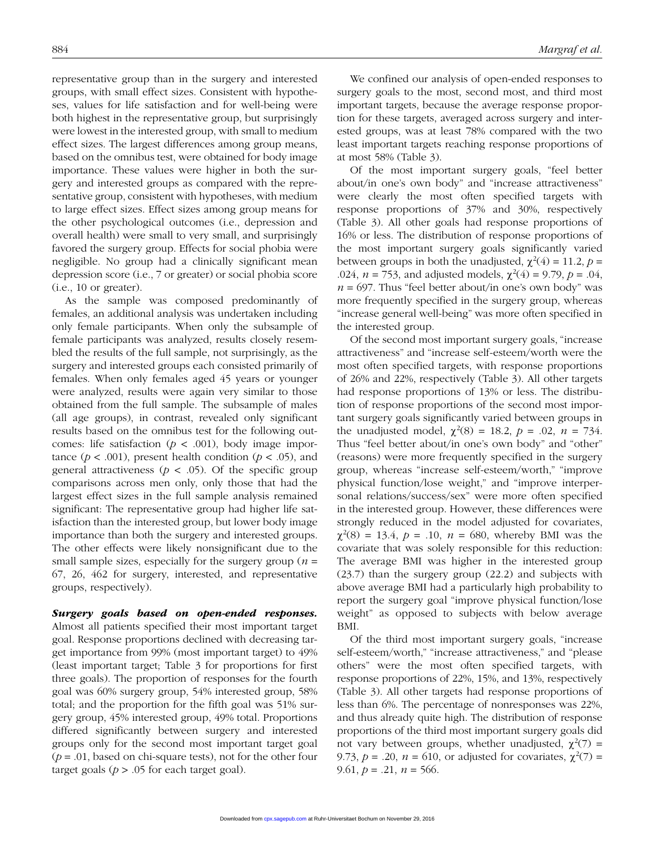representative group than in the surgery and interested groups, with small effect sizes. Consistent with hypotheses, values for life satisfaction and for well-being were both highest in the representative group, but surprisingly were lowest in the interested group, with small to medium effect sizes. The largest differences among group means, based on the omnibus test, were obtained for body image importance. These values were higher in both the surgery and interested groups as compared with the representative group, consistent with hypotheses, with medium to large effect sizes. Effect sizes among group means for the other psychological outcomes (i.e., depression and overall health) were small to very small, and surprisingly favored the surgery group. Effects for social phobia were negligible. No group had a clinically significant mean depression score (i.e., 7 or greater) or social phobia score (i.e., 10 or greater).

As the sample was composed predominantly of females, an additional analysis was undertaken including only female participants. When only the subsample of female participants was analyzed, results closely resembled the results of the full sample, not surprisingly, as the surgery and interested groups each consisted primarily of females. When only females aged 45 years or younger were analyzed, results were again very similar to those obtained from the full sample. The subsample of males (all age groups), in contrast, revealed only significant results based on the omnibus test for the following outcomes: life satisfaction ( $p < .001$ ), body image importance ( $p < .001$ ), present health condition ( $p < .05$ ), and general attractiveness ( $p < .05$ ). Of the specific group comparisons across men only, only those that had the largest effect sizes in the full sample analysis remained significant: The representative group had higher life satisfaction than the interested group, but lower body image importance than both the surgery and interested groups. The other effects were likely nonsignificant due to the small sample sizes, especially for the surgery group  $(n =$ 67, 26, 462 for surgery, interested, and representative groups, respectively).

*Surgery goals based on open-ended responses.* Almost all patients specified their most important target goal. Response proportions declined with decreasing target importance from 99% (most important target) to 49% (least important target; Table 3 for proportions for first three goals). The proportion of responses for the fourth goal was 60% surgery group, 54% interested group, 58% total; and the proportion for the fifth goal was 51% surgery group, 45% interested group, 49% total. Proportions differed significantly between surgery and interested groups only for the second most important target goal  $(p = .01,$  based on chi-square tests), not for the other four target goals ( $p > .05$  for each target goal).

We confined our analysis of open-ended responses to surgery goals to the most, second most, and third most important targets, because the average response proportion for these targets, averaged across surgery and interested groups, was at least 78% compared with the two least important targets reaching response proportions of at most 58% (Table 3).

Of the most important surgery goals, "feel better about/in one's own body" and "increase attractiveness" were clearly the most often specified targets with response proportions of 37% and 30%, respectively (Table 3). All other goals had response proportions of 16% or less. The distribution of response proportions of the most important surgery goals significantly varied between groups in both the unadjusted,  $\chi^2(4) = 11.2$ ,  $p =$ .024,  $n = 753$ , and adjusted models,  $\chi^2(4) = 9.79$ ,  $p = .04$ ,  $n = 697$ . Thus "feel better about/in one's own body" was more frequently specified in the surgery group, whereas "increase general well-being" was more often specified in the interested group.

Of the second most important surgery goals, "increase attractiveness" and "increase self-esteem/worth were the most often specified targets, with response proportions of 26% and 22%, respectively (Table 3). All other targets had response proportions of 13% or less. The distribution of response proportions of the second most important surgery goals significantly varied between groups in the unadjusted model,  $\chi^2(8) = 18.2$ ,  $p = .02$ ,  $n = 734$ . Thus "feel better about/in one's own body" and "other" (reasons) were more frequently specified in the surgery group, whereas "increase self-esteem/worth," "improve physical function/lose weight," and "improve interpersonal relations/success/sex" were more often specified in the interested group. However, these differences were strongly reduced in the model adjusted for covariates,  $\chi^2(8) = 13.4, p = .10, n = 680$ , whereby BMI was the covariate that was solely responsible for this reduction: The average BMI was higher in the interested group (23.7) than the surgery group (22.2) and subjects with above average BMI had a particularly high probability to report the surgery goal "improve physical function/lose weight" as opposed to subjects with below average BMI.

Of the third most important surgery goals, "increase self-esteem/worth," "increase attractiveness," and "please others" were the most often specified targets, with response proportions of 22%, 15%, and 13%, respectively (Table 3). All other targets had response proportions of less than 6%. The percentage of nonresponses was 22%, and thus already quite high. The distribution of response proportions of the third most important surgery goals did not vary between groups, whether unadjusted,  $\chi^2(7) =$ 9.73,  $p = 0.20$ ,  $n = 610$ , or adjusted for covariates,  $\chi^2(7) =$ 9.61,  $p = 0.21$ ,  $n = 566$ .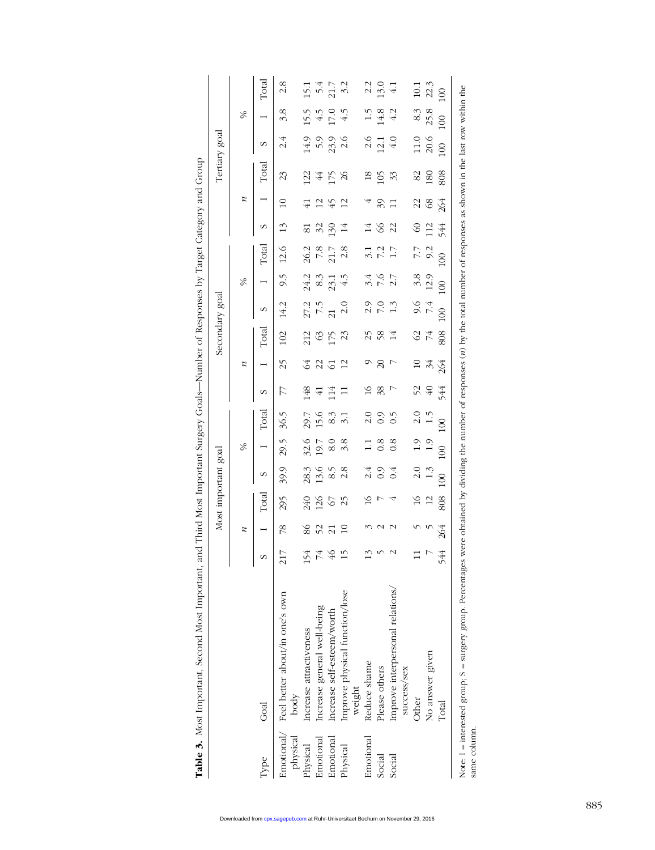|              |                                                                                                                                                                                       |                 |                  | Most important goal |                |                 |                  |                 |                            | Secondary goal |                   |                          |                     |          |                  | Tertiary goal    |                                                 |                |                     |
|--------------|---------------------------------------------------------------------------------------------------------------------------------------------------------------------------------------|-----------------|------------------|---------------------|----------------|-----------------|------------------|-----------------|----------------------------|----------------|-------------------|--------------------------|---------------------|----------|------------------|------------------|-------------------------------------------------|----------------|---------------------|
|              |                                                                                                                                                                                       |                 | $\boldsymbol{z}$ |                     |                | $\%$            |                  |                 | $\boldsymbol{z}$           |                |                   | %                        |                     |          | $\boldsymbol{z}$ |                  |                                                 | %              |                     |
| Type         | Goal                                                                                                                                                                                  | S               |                  | Total               | S              |                 | Total            | S               |                            | $\Gamma$ otal  | S                 |                          | Total               | S        |                  | $\Gamma$ otal    | S                                               |                | Total               |
| physical     | Emotional/ Feel better about/in one's own<br>body                                                                                                                                     | 217             | $\frac{8}{2}$    | 295                 | 39.9           | 29.5            | 36.5             | 77              | 25                         | 102            | 14.2              | 9.5                      | 12.6                | 13       | $\overline{10}$  | 23               | 2.4                                             | 3.8            | 2.8                 |
| Physical     | Increase attractiveness                                                                                                                                                               | 154             | 86               | 240                 | 28.3           | 32.6            | 29.7             | 148             |                            | 212            | 27.2              | 24.2                     | 26.2                | 81       |                  | S                | 14.9                                            | 15.5           | 15.1                |
| Emotional    | Increase general well-being                                                                                                                                                           |                 | 52               | 126                 | 13.6           | 19.7            | 15.6             | $\overline{4}$  | 3<br>2<br>3<br>5<br>3<br>5 |                | 7.5               |                          | 7.8                 | 32       | $\overline{2}$   | $\cancel{4}$     |                                                 | 4.5            |                     |
| Emotional    | Increase self-esteem/worth                                                                                                                                                            | 74 \$           | $\overline{c}$   | $\epsilon$          | 8.5            | 8.0             | $8.\overline{3}$ | $\overline{14}$ |                            | $rac{63}{50}$  | $\overline{21}$   | $8.\overline{3}$<br>23.1 | 21.7                | 130      | 45               | L75              | $5.9$<br>$23.9$                                 | 17.0           | $54$<br>21.7<br>3.2 |
| Physical     | Improve physical function/lose<br>weight                                                                                                                                              | $\overline{15}$ | $\Xi$            | 25                  | 2.8            | 3.8             |                  |                 | $\overline{12}$            | 23             | 2.0               | 4.5                      | 2.8                 |          | $\overline{c}$   | $\delta$         | 2.6                                             | $\ddot{ }$     |                     |
| Emotional    | Reduce shame                                                                                                                                                                          |                 |                  | $\approx$           | 2.4            | $\Xi$           |                  |                 |                            |                |                   |                          |                     |          |                  | $^{18}$          |                                                 | $\frac{1}{2}$  | 2.2                 |
| Social       | Please others                                                                                                                                                                         |                 |                  |                     | 0.9            | 0.8             | 0.0.9<br>0.0.9   | 18<br>38<br>7   | $\Omega$                   | $258$ $14$     | 2.0<br>2.0<br>2.0 | 2 1 2 1<br>2 1 2 1       | 3.1<br>5.17<br>5.17 | $\infty$ | 39               | $\widetilde{50}$ | $\begin{array}{c} 0 \\ 2 \\ 1 \\ 4 \end{array}$ | $14.8$<br>4.2  | 13.0                |
| Social       | Improve interpersonal relations/<br>success/sex                                                                                                                                       | $\mathbf{\sim}$ |                  |                     |                | 0.8             |                  |                 |                            |                |                   |                          |                     | 22       |                  | 33               |                                                 |                | $\overline{41}$     |
|              | Other                                                                                                                                                                                 | $\Xi$           |                  | $\geq$              | $\frac{0}{2}$  | 1.9             |                  |                 | $\Omega$                   |                |                   | 3.8                      |                     | $\infty$ |                  | 82               |                                                 | 8.3            | 10.1                |
|              | No answer given                                                                                                                                                                       |                 |                  | $\overline{c}$      | $\frac{3}{1}$  |                 | $\frac{0}{1}$ .5 | 52<br>40        | $34$<br>264                | $rac{2}{7}$    | 9.4<br>7.4        | 12.9                     | 7.7<br>9.2          | 112      | 28               | $^{180}$         | $11.0$<br>$20.6$                                | 25.8           | 22.3                |
|              | Total                                                                                                                                                                                 | 544             | 264              | 808                 | $\overline{0}$ | 00 <sub>h</sub> | $\infty$         | 544             |                            | 808            | $\infty$          | $\overline{0}$           | $\infty$            | 544      | 264              | 808              | $\overline{00}$                                 | $\overline{0}$ | 100                 |
| same column. | Note: 1 = interested group; S = surgery group. Percentages were obtained by dividing the number of responses (n) by the total number of responses as shown in the last row within the |                 |                  |                     |                |                 |                  |                 |                            |                |                   |                          |                     |          |                  |                  |                                                 |                |                     |

Table 3. Most Important, Second Most Important, and Third Most Important Surgery Goals-Number of Responses by Target Category and Group Table 3. Most Important, Second Most Important, and Third Most Important Surgery Goals—Number of Responses by Target Category and Group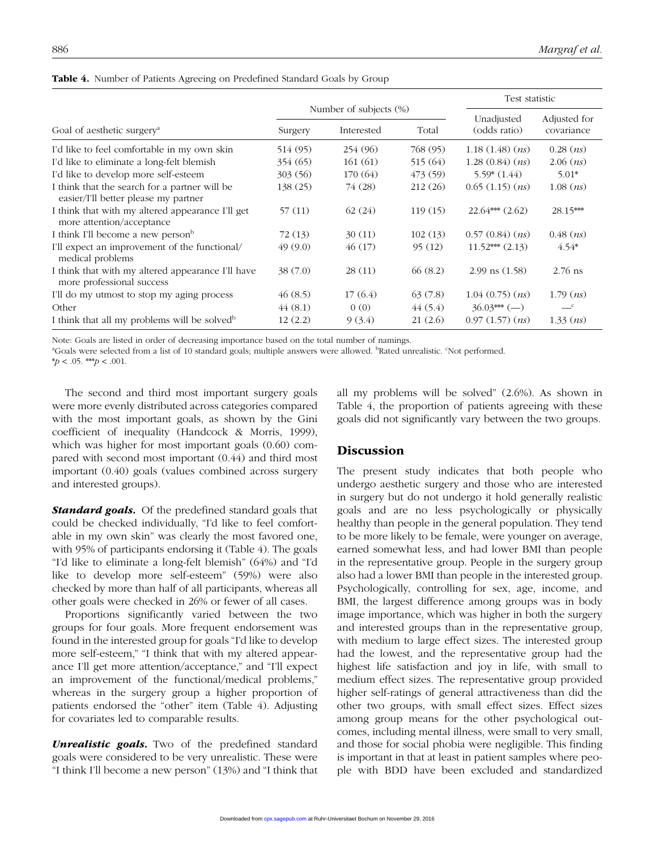|                                                                                       |          |                        |          |                     | Test statistic |  |  |
|---------------------------------------------------------------------------------------|----------|------------------------|----------|---------------------|----------------|--|--|
|                                                                                       |          | Number of subjects (%) |          | Unadjusted          | Adjusted for   |  |  |
| Goal of aesthetic surgery <sup>a</sup>                                                | Surgery  | Interested<br>Total    |          | (odds ratio)        | covariance     |  |  |
| I'd like to feel comfortable in my own skin                                           | 514 (95) | 254 (96)               | 768 (95) | 1.18(1.48)(ns)      | $0.28$ $(ns)$  |  |  |
| I'd like to eliminate a long-felt blemish                                             | 354 (65) | 161(61)                | 515 (64) | 1.28(0.84)(ns)      | $2.06$ $(ns)$  |  |  |
| I'd like to develop more self-esteem                                                  | 303(56)  | 170 (64)               | 473 (59) | $5.59*(1.44)$       | $5.01*$        |  |  |
| I think that the search for a partner will be<br>easier/I'll better please my partner | 138(25)  | 74 (28)                | 212(26)  | 0.65(1.15)(ns)      | $1.08$ $(ns)$  |  |  |
| I think that with my altered appearance I'll get<br>more attention/acceptance         | 57 (11)  | 62(24)                 | 119(15)  | $22.64***$ $(2.62)$ | 28.15***       |  |  |
| I think I'll become a new person <sup>b</sup>                                         | 72 (13)  | 30(11)                 | 102(13)  | 0.57(0.84)(ns)      | $0.48$ $(ns)$  |  |  |
| I'll expect an improvement of the functional/<br>medical problems                     | 49(9.0)  | 46(17)                 | 95(12)   | $11.52***$ $(2.13)$ | $4.54*$        |  |  |
| I think that with my altered appearance I'll have<br>more professional success        | 38(7.0)  | 28(11)                 | 66(8.2)  | $2.99$ ns $(1.58)$  | $2.76$ ns      |  |  |
| I'll do my utmost to stop my aging process                                            | 46(8.5)  | 17(6.4)                | 63(7.8)  | 1.04(0.75)(ns)      | $1.79$ $(ns)$  |  |  |
| Other                                                                                 | 44(8.1)  | 0(0)                   | 44(5.4)  | $36.03***$ (-)      | $\mathbf{C}$   |  |  |
| I think that all my problems will be solved <sup>b</sup>                              | 12(2.2)  | 9(3.4)                 | 21(2.6)  | 0.97(1.57)(ns)      | $1.33$ $(ns)$  |  |  |

|  |  |  | Table 4. Number of Patients Agreeing on Predefined Standard Goals by Group |  |  |  |  |
|--|--|--|----------------------------------------------------------------------------|--|--|--|--|
|--|--|--|----------------------------------------------------------------------------|--|--|--|--|

Note: Goals are listed in order of decreasing importance based on the total number of namings.

<sup>a</sup>Goals were selected from a list of 10 standard goals; multiple answers were allowed. <sup>b</sup>Rated unrealistic. <sup>c</sup>Not performed.

 $* p < .05.$ <sup>\*\*</sup> $p < .001.$ 

The second and third most important surgery goals were more evenly distributed across categories compared with the most important goals, as shown by the Gini coefficient of inequality (Handcock & Morris, 1999), which was higher for most important goals (0.60) compared with second most important (0.44) and third most important (0.40) goals (values combined across surgery and interested groups).

*Standard goals.* Of the predefined standard goals that could be checked individually, "I'd like to feel comfortable in my own skin" was clearly the most favored one, with 95% of participants endorsing it (Table 4). The goals "I'd like to eliminate a long-felt blemish" (64%) and "I'd like to develop more self-esteem" (59%) were also checked by more than half of all participants, whereas all other goals were checked in 26% or fewer of all cases.

Proportions significantly varied between the two groups for four goals. More frequent endorsement was found in the interested group for goals "I'd like to develop more self-esteem," "I think that with my altered appearance I'll get more attention/acceptance," and "I'll expect an improvement of the functional/medical problems," whereas in the surgery group a higher proportion of patients endorsed the "other" item (Table 4). Adjusting for covariates led to comparable results.

**Unrealistic goals.** Two of the predefined standard goals were considered to be very unrealistic. These were "I think I'll become a new person" (13%) and "I think that all my problems will be solved" (2.6%). As shown in Table 4, the proportion of patients agreeing with these goals did not significantly vary between the two groups.

## **Discussion**

The present study indicates that both people who undergo aesthetic surgery and those who are interested in surgery but do not undergo it hold generally realistic goals and are no less psychologically or physically healthy than people in the general population. They tend to be more likely to be female, were younger on average, earned somewhat less, and had lower BMI than people in the representative group. People in the surgery group also had a lower BMI than people in the interested group. Psychologically, controlling for sex, age, income, and BMI, the largest difference among groups was in body image importance, which was higher in both the surgery and interested groups than in the representative group, with medium to large effect sizes. The interested group had the lowest, and the representative group had the highest life satisfaction and joy in life, with small to medium effect sizes. The representative group provided higher self-ratings of general attractiveness than did the other two groups, with small effect sizes. Effect sizes among group means for the other psychological outcomes, including mental illness, were small to very small, and those for social phobia were negligible. This finding is important in that at least in patient samples where people with BDD have been excluded and standardized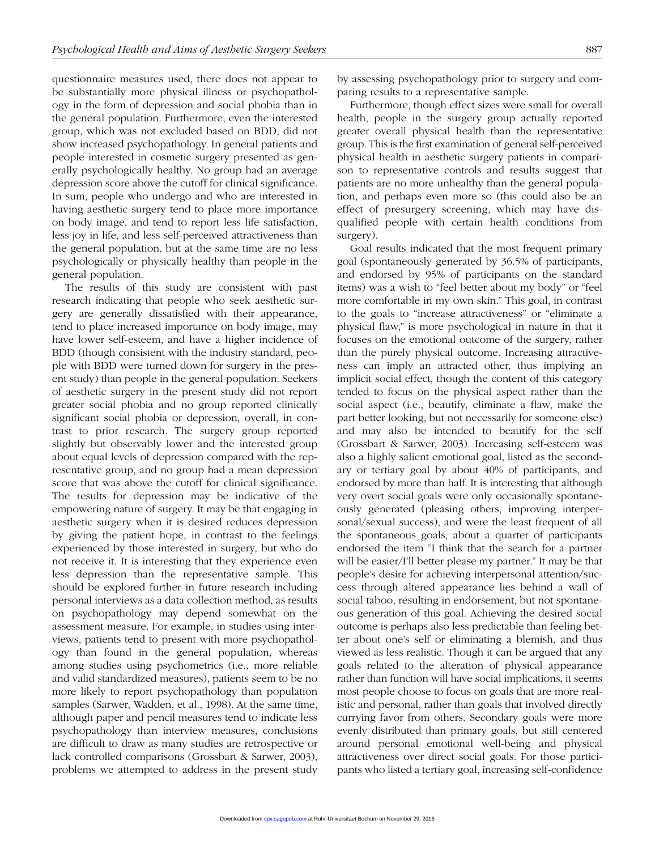questionnaire measures used, there does not appear to be substantially more physical illness or psychopathology in the form of depression and social phobia than in the general population. Furthermore, even the interested group, which was not excluded based on BDD, did not show increased psychopathology. In general patients and people interested in cosmetic surgery presented as generally psychologically healthy. No group had an average depression score above the cutoff for clinical significance. In sum, people who undergo and who are interested in having aesthetic surgery tend to place more importance on body image, and tend to report less life satisfaction, less joy in life, and less self-perceived attractiveness than the general population, but at the same time are no less psychologically or physically healthy than people in the general population.

The results of this study are consistent with past research indicating that people who seek aesthetic surgery are generally dissatisfied with their appearance, tend to place increased importance on body image, may have lower self-esteem, and have a higher incidence of BDD (though consistent with the industry standard, people with BDD were turned down for surgery in the present study) than people in the general population. Seekers of aesthetic surgery in the present study did not report greater social phobia and no group reported clinically significant social phobia or depression, overall, in contrast to prior research. The surgery group reported slightly but observably lower and the interested group about equal levels of depression compared with the representative group, and no group had a mean depression score that was above the cutoff for clinical significance. The results for depression may be indicative of the empowering nature of surgery. It may be that engaging in aesthetic surgery when it is desired reduces depression by giving the patient hope, in contrast to the feelings experienced by those interested in surgery, but who do not receive it. It is interesting that they experience even less depression than the representative sample. This should be explored further in future research including personal interviews as a data collection method, as results on psychopathology may depend somewhat on the assessment measure. For example, in studies using interviews, patients tend to present with more psychopathology than found in the general population, whereas among studies using psychometrics (i.e., more reliable and valid standardized measures), patients seem to be no more likely to report psychopathology than population samples (Sarwer, Wadden, et al., 1998). At the same time, although paper and pencil measures tend to indicate less psychopathology than interview measures, conclusions are difficult to draw as many studies are retrospective or lack controlled comparisons (Grossbart & Sarwer, 2003), problems we attempted to address in the present study by assessing psychopathology prior to surgery and comparing results to a representative sample.

Furthermore, though effect sizes were small for overall health, people in the surgery group actually reported greater overall physical health than the representative group. This is the first examination of general self-perceived physical health in aesthetic surgery patients in comparison to representative controls and results suggest that patients are no more unhealthy than the general population, and perhaps even more so (this could also be an effect of presurgery screening, which may have disqualified people with certain health conditions from surgery).

Goal results indicated that the most frequent primary goal (spontaneously generated by 36.5% of participants, and endorsed by 95% of participants on the standard items) was a wish to "feel better about my body" or "feel more comfortable in my own skin." This goal, in contrast to the goals to "increase attractiveness" or "eliminate a physical flaw," is more psychological in nature in that it focuses on the emotional outcome of the surgery, rather than the purely physical outcome. Increasing attractiveness can imply an attracted other, thus implying an implicit social effect, though the content of this category tended to focus on the physical aspect rather than the social aspect (i.e., beautify, eliminate a flaw, make the part better looking, but not necessarily for someone else) and may also be intended to beautify for the self (Grossbart & Sarwer, 2003). Increasing self-esteem was also a highly salient emotional goal, listed as the secondary or tertiary goal by about 40% of participants, and endorsed by more than half. It is interesting that although very overt social goals were only occasionally spontaneously generated (pleasing others, improving interpersonal/sexual success), and were the least frequent of all the spontaneous goals, about a quarter of participants endorsed the item "I think that the search for a partner will be easier/I'll better please my partner." It may be that people's desire for achieving interpersonal attention/success through altered appearance lies behind a wall of social taboo, resulting in endorsement, but not spontaneous generation of this goal. Achieving the desired social outcome is perhaps also less predictable than feeling better about one's self or eliminating a blemish, and thus viewed as less realistic. Though it can be argued that any goals related to the alteration of physical appearance rather than function will have social implications, it seems most people choose to focus on goals that are more realistic and personal, rather than goals that involved directly currying favor from others. Secondary goals were more evenly distributed than primary goals, but still centered around personal emotional well-being and physical attractiveness over direct social goals. For those participants who listed a tertiary goal, increasing self-confidence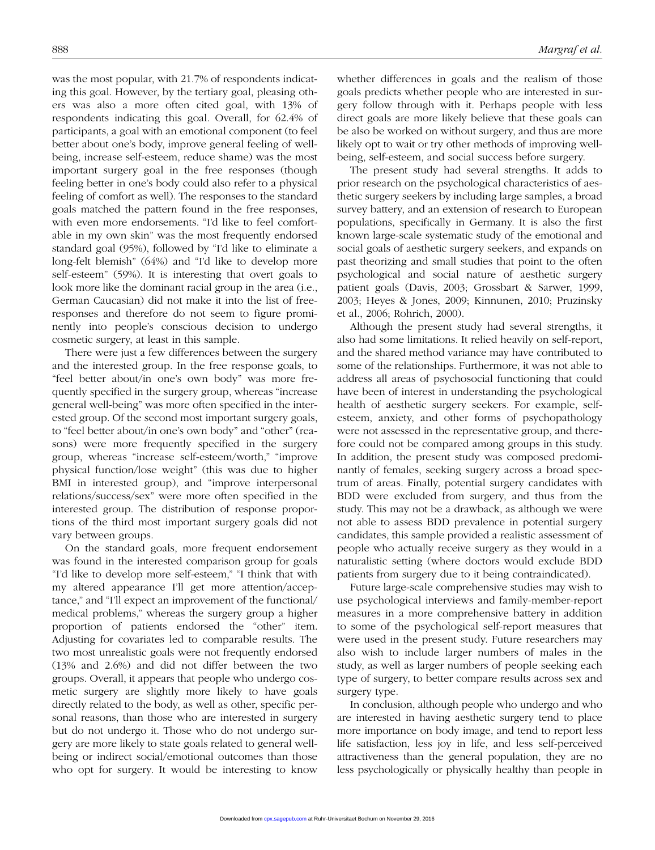was the most popular, with 21.7% of respondents indicating this goal. However, by the tertiary goal, pleasing others was also a more often cited goal, with 13% of respondents indicating this goal. Overall, for 62.4% of participants, a goal with an emotional component (to feel better about one's body, improve general feeling of wellbeing, increase self-esteem, reduce shame) was the most important surgery goal in the free responses (though feeling better in one's body could also refer to a physical feeling of comfort as well). The responses to the standard goals matched the pattern found in the free responses, with even more endorsements. "I'd like to feel comfortable in my own skin" was the most frequently endorsed standard goal (95%), followed by "I'd like to eliminate a long-felt blemish" (64%) and "I'd like to develop more self-esteem" (59%). It is interesting that overt goals to look more like the dominant racial group in the area (i.e., German Caucasian) did not make it into the list of freeresponses and therefore do not seem to figure prominently into people's conscious decision to undergo cosmetic surgery, at least in this sample.

There were just a few differences between the surgery and the interested group. In the free response goals, to "feel better about/in one's own body" was more frequently specified in the surgery group, whereas "increase general well-being" was more often specified in the interested group. Of the second most important surgery goals, to "feel better about/in one's own body" and "other" (reasons) were more frequently specified in the surgery group, whereas "increase self-esteem/worth," "improve physical function/lose weight" (this was due to higher BMI in interested group), and "improve interpersonal relations/success/sex" were more often specified in the interested group. The distribution of response proportions of the third most important surgery goals did not vary between groups.

On the standard goals, more frequent endorsement was found in the interested comparison group for goals "I'd like to develop more self-esteem," "I think that with my altered appearance I'll get more attention/acceptance," and "I'll expect an improvement of the functional/ medical problems," whereas the surgery group a higher proportion of patients endorsed the "other" item. Adjusting for covariates led to comparable results. The two most unrealistic goals were not frequently endorsed (13% and 2.6%) and did not differ between the two groups. Overall, it appears that people who undergo cosmetic surgery are slightly more likely to have goals directly related to the body, as well as other, specific personal reasons, than those who are interested in surgery but do not undergo it. Those who do not undergo surgery are more likely to state goals related to general wellbeing or indirect social/emotional outcomes than those who opt for surgery. It would be interesting to know whether differences in goals and the realism of those goals predicts whether people who are interested in surgery follow through with it. Perhaps people with less direct goals are more likely believe that these goals can be also be worked on without surgery, and thus are more likely opt to wait or try other methods of improving wellbeing, self-esteem, and social success before surgery.

The present study had several strengths. It adds to prior research on the psychological characteristics of aesthetic surgery seekers by including large samples, a broad survey battery, and an extension of research to European populations, specifically in Germany. It is also the first known large-scale systematic study of the emotional and social goals of aesthetic surgery seekers, and expands on past theorizing and small studies that point to the often psychological and social nature of aesthetic surgery patient goals (Davis, 2003; Grossbart & Sarwer, 1999, 2003; Heyes & Jones, 2009; Kinnunen, 2010; Pruzinsky et al., 2006; Rohrich, 2000).

Although the present study had several strengths, it also had some limitations. It relied heavily on self-report, and the shared method variance may have contributed to some of the relationships. Furthermore, it was not able to address all areas of psychosocial functioning that could have been of interest in understanding the psychological health of aesthetic surgery seekers. For example, selfesteem, anxiety, and other forms of psychopathology were not assessed in the representative group, and therefore could not be compared among groups in this study. In addition, the present study was composed predominantly of females, seeking surgery across a broad spectrum of areas. Finally, potential surgery candidates with BDD were excluded from surgery, and thus from the study. This may not be a drawback, as although we were not able to assess BDD prevalence in potential surgery candidates, this sample provided a realistic assessment of people who actually receive surgery as they would in a naturalistic setting (where doctors would exclude BDD patients from surgery due to it being contraindicated).

Future large-scale comprehensive studies may wish to use psychological interviews and family-member-report measures in a more comprehensive battery in addition to some of the psychological self-report measures that were used in the present study. Future researchers may also wish to include larger numbers of males in the study, as well as larger numbers of people seeking each type of surgery, to better compare results across sex and surgery type.

In conclusion, although people who undergo and who are interested in having aesthetic surgery tend to place more importance on body image, and tend to report less life satisfaction, less joy in life, and less self-perceived attractiveness than the general population, they are no less psychologically or physically healthy than people in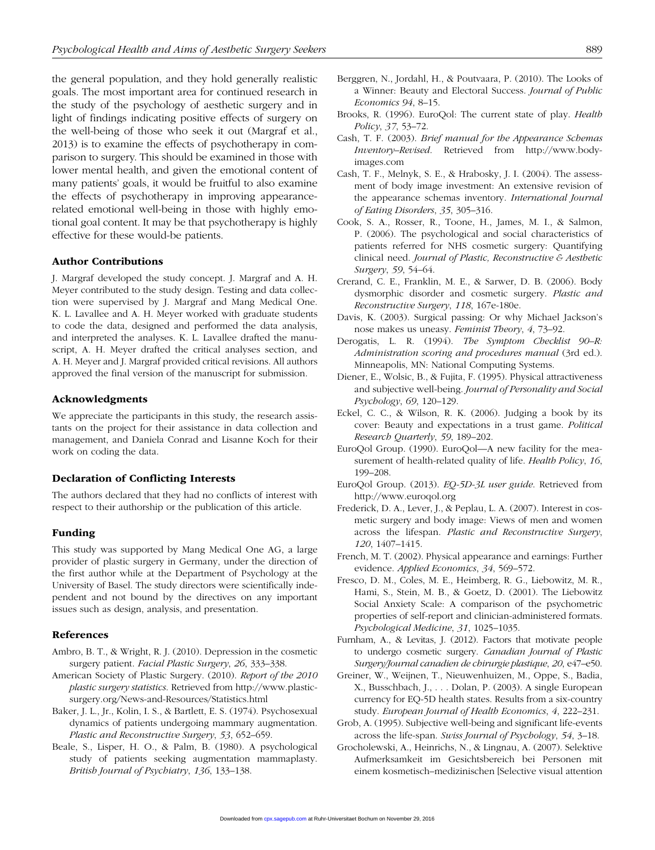the general population, and they hold generally realistic goals. The most important area for continued research in the study of the psychology of aesthetic surgery and in light of findings indicating positive effects of surgery on the well-being of those who seek it out (Margraf et al., 2013) is to examine the effects of psychotherapy in comparison to surgery. This should be examined in those with lower mental health, and given the emotional content of many patients' goals, it would be fruitful to also examine the effects of psychotherapy in improving appearancerelated emotional well-being in those with highly emotional goal content. It may be that psychotherapy is highly effective for these would-be patients.

#### Author Contributions

J. Margraf developed the study concept. J. Margraf and A. H. Meyer contributed to the study design. Testing and data collection were supervised by J. Margraf and Mang Medical One. K. L. Lavallee and A. H. Meyer worked with graduate students to code the data, designed and performed the data analysis, and interpreted the analyses. K. L. Lavallee drafted the manuscript, A. H. Meyer drafted the critical analyses section, and A. H. Meyer and J. Margraf provided critical revisions. All authors approved the final version of the manuscript for submission.

#### Acknowledgments

We appreciate the participants in this study, the research assistants on the project for their assistance in data collection and management, and Daniela Conrad and Lisanne Koch for their work on coding the data.

#### Declaration of Conflicting Interests

The authors declared that they had no conflicts of interest with respect to their authorship or the publication of this article.

#### Funding

This study was supported by Mang Medical One AG, a large provider of plastic surgery in Germany, under the direction of the first author while at the Department of Psychology at the University of Basel. The study directors were scientifically independent and not bound by the directives on any important issues such as design, analysis, and presentation.

#### References

- Ambro, B. T., & Wright, R. J. (2010). Depression in the cosmetic surgery patient. *Facial Plastic Surgery*, *26*, 333–338.
- American Society of Plastic Surgery. (2010). *Report of the 2010 plastic surgery statistics*. Retrieved from http://www.plasticsurgery.org/News-and-Resources/Statistics.html
- Baker, J. L., Jr., Kolin, I. S., & Bartlett, E. S. (1974). Psychosexual dynamics of patients undergoing mammary augmentation. *Plastic and Reconstructive Surgery*, *53*, 652–659.
- Beale, S., Lisper, H. O., & Palm, B. (1980). A psychological study of patients seeking augmentation mammaplasty. *British Journal of Psychiatry*, *136*, 133–138.
- Berggren, N., Jordahl, H., & Poutvaara, P. (2010). The Looks of a Winner: Beauty and Electoral Success. *Journal of Public Economics 94*, 8–15.
- Brooks, R. (1996). EuroQol: The current state of play. *Health Policy*, *37*, 53–72.
- Cash, T. F. (2003). *Brief manual for the Appearance Schemas Inventory–Revised*. Retrieved from http://www.bodyimages.com
- Cash, T. F., Melnyk, S. E., & Hrabosky, J. I. (2004). The assessment of body image investment: An extensive revision of the appearance schemas inventory. *International Journal of Eating Disorders*, *35*, 305–316.
- Cook, S. A., Rosser, R., Toone, H., James, M. I., & Salmon, P. (2006). The psychological and social characteristics of patients referred for NHS cosmetic surgery: Quantifying clinical need. *Journal of Plastic, Reconstructive & Aesthetic Surgery*, *59*, 54–64.
- Crerand, C. E., Franklin, M. E., & Sarwer, D. B. (2006). Body dysmorphic disorder and cosmetic surgery. *Plastic and Reconstructive Surgery*, *118*, 167e-180e.
- Davis, K. (2003). Surgical passing: Or why Michael Jackson's nose makes us uneasy. *Feminist Theory*, *4*, 73–92.
- Derogatis, L. R. (1994). *The Symptom Checklist 90–R: Administration scoring and procedures manual* (3rd ed.). Minneapolis, MN: National Computing Systems.
- Diener, E., Wolsic, B., & Fujita, F. (1995). Physical attractiveness and subjective well-being. *Journal of Personality and Social Psychology*, *69*, 120–129.
- Eckel, C. C., & Wilson, R. K. (2006). Judging a book by its cover: Beauty and expectations in a trust game. *Political Research Quarterly*, *59*, 189–202.
- EuroQol Group. (1990). EuroQol—A new facility for the measurement of health-related quality of life. *Health Policy*, *16*, 199–208.
- EuroQol Group. (2013). *EQ-5D-3L user guide*. Retrieved from http://www.euroqol.org
- Frederick, D. A., Lever, J., & Peplau, L. A. (2007). Interest in cosmetic surgery and body image: Views of men and women across the lifespan. *Plastic and Reconstructive Surgery*, *120*, 1407–1415.
- French, M. T. (2002). Physical appearance and earnings: Further evidence. *Applied Economics*, *34*, 569–572.
- Fresco, D. M., Coles, M. E., Heimberg, R. G., Liebowitz, M. R., Hami, S., Stein, M. B., & Goetz, D. (2001). The Liebowitz Social Anxiety Scale: A comparison of the psychometric properties of self-report and clinician-administered formats. *Psychological Medicine*, *31*, 1025–1035.
- Furnham, A., & Levitas, J. (2012). Factors that motivate people to undergo cosmetic surgery. *Canadian Journal of Plastic Surgery/Journal canadien de chirurgie plastique*, *20*, e47–e50.
- Greiner, W., Weijnen, T., Nieuwenhuizen, M., Oppe, S., Badia, X., Busschbach, J., . . . Dolan, P. (2003). A single European currency for EQ-5D health states. Results from a six-country study. *European Journal of Health Economics*, *4*, 222–231.
- Grob, A. (1995). Subjective well-being and significant life-events across the life-span. *Swiss Journal of Psychology*, *54*, 3–18.
- Grocholewski, A., Heinrichs, N., & Lingnau, A. (2007). Selektive Aufmerksamkeit im Gesichtsbereich bei Personen mit einem kosmetisch–medizinischen [Selective visual attention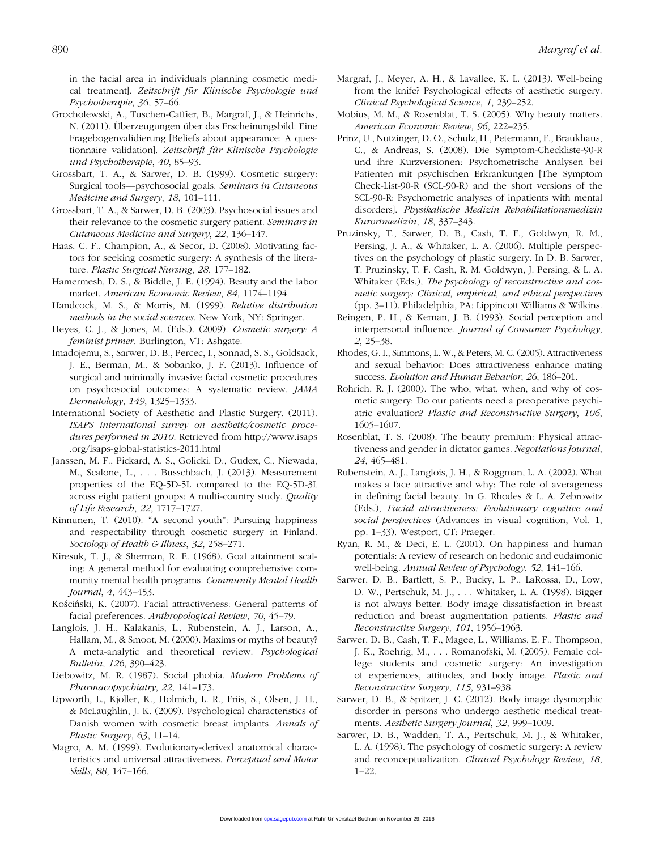in the facial area in individuals planning cosmetic medical treatment]. *Zeitschrift für Klinische Psychologie und Psychotherapie*, *36*, 57–66.

- Grocholewski, A., Tuschen-Caffier, B., Margraf, J., & Heinrichs, N. (2011). Überzeugungen über das Erscheinungsbild: Eine Fragebogenvalidierung [Beliefs about appearance: A questionnaire validation]. *Zeitschrift für Klinische Psychologie und Psychotherapie*, *40*, 85–93.
- Grossbart, T. A., & Sarwer, D. B. (1999). Cosmetic surgery: Surgical tools—psychosocial goals. *Seminars in Cutaneous Medicine and Surgery*, *18*, 101–111.
- Grossbart, T. A., & Sarwer, D. B. (2003). Psychosocial issues and their relevance to the cosmetic surgery patient. *Seminars in Cutaneous Medicine and Surgery*, *22*, 136–147.
- Haas, C. F., Champion, A., & Secor, D. (2008). Motivating factors for seeking cosmetic surgery: A synthesis of the literature. *Plastic Surgical Nursing*, *28*, 177–182.
- Hamermesh, D. S., & Biddle, J. E. (1994). Beauty and the labor market. *American Economic Review*, *84*, 1174–1194.
- Handcock, M. S., & Morris, M. (1999). *Relative distribution methods in the social sciences*. New York, NY: Springer.
- Heyes, C. J., & Jones, M. (Eds.). (2009). *Cosmetic surgery: A feminist primer*. Burlington, VT: Ashgate.
- Imadojemu, S., Sarwer, D. B., Percec, I., Sonnad, S. S., Goldsack, J. E., Berman, M., & Sobanko, J. F. (2013). Influence of surgical and minimally invasive facial cosmetic procedures on psychosocial outcomes: A systematic review. *JAMA Dermatology*, *149*, 1325–1333.
- International Society of Aesthetic and Plastic Surgery. (2011). *ISAPS international survey on aesthetic/cosmetic procedures performed in 2010*. Retrieved from http://www.isaps [.org/isaps-global-statistics-2011.html](http://www.isaps.org/isaps-global-statistics-2011.html)
- Janssen, M. F., Pickard, A. S., Golicki, D., Gudex, C., Niewada, M., Scalone, L., . . . Busschbach, J. (2013). Measurement properties of the EQ-5D-5L compared to the EQ-5D-3L across eight patient groups: A multi-country study. *Quality of Life Research*, *22*, 1717–1727.
- Kinnunen, T. (2010). "A second youth": Pursuing happiness and respectability through cosmetic surgery in Finland. *Sociology of Health & Illness*, *32*, 258–271.
- Kiresuk, T. J., & Sherman, R. E. (1968). Goal attainment scaling: A general method for evaluating comprehensive community mental health programs. *Community Mental Health Journal*, *4*, 443–453.
- Kościński, K. (2007). Facial attractiveness: General patterns of facial preferences. *Anthropological Review*, *70*, 45–79.
- Langlois, J. H., Kalakanis, L., Rubenstein, A. J., Larson, A., Hallam, M., & Smoot, M. (2000). Maxims or myths of beauty? A meta-analytic and theoretical review. *Psychological Bulletin*, *126*, 390–423.
- Liebowitz, M. R. (1987). Social phobia. *Modern Problems of Pharmacopsychiatry*, *22*, 141–173.
- Lipworth, L., Kjoller, K., Holmich, L. R., Friis, S., Olsen, J. H., & McLaughlin, J. K. (2009). Psychological characteristics of Danish women with cosmetic breast implants. *Annals of Plastic Surgery*, *63*, 11–14.
- Magro, A. M. (1999). Evolutionary-derived anatomical characteristics and universal attractiveness. *Perceptual and Motor Skills*, *88*, 147–166.
- Margraf, J., Meyer, A. H., & Lavallee, K. L. (2013). Well-being from the knife? Psychological effects of aesthetic surgery. *Clinical Psychological Science*, *1*, 239–252.
- Mobius, M. M., & Rosenblat, T. S. (2005). Why beauty matters. *American Economic Review*, *96*, 222–235.
- Prinz, U., Nutzinger, D. O., Schulz, H., Petermann, F., Braukhaus, C., & Andreas, S. (2008). Die Symptom-Checkliste-90-R und ihre Kurzversionen: Psychometrische Analysen bei Patienten mit psychischen Erkrankungen [The Symptom Check-List-90-R (SCL-90-R) and the short versions of the SCL-90-R: Psychometric analyses of inpatients with mental disorders]. *Physikalische Medizin Rehabilitationsmedizin Kurortmedizin*, *18*, 337–343.
- Pruzinsky, T., Sarwer, D. B., Cash, T. F., Goldwyn, R. M., Persing, J. A., & Whitaker, L. A. (2006). Multiple perspectives on the psychology of plastic surgery. In D. B. Sarwer, T. Pruzinsky, T. F. Cash, R. M. Goldwyn, J. Persing, & L. A. Whitaker (Eds.), *The psychology of reconstructive and cosmetic surgery: Clinical, empirical, and ethical perspectives* (pp. 3–11). Philadelphia, PA: Lippincott Williams & Wilkins.
- Reingen, P. H., & Kernan, J. B. (1993). Social perception and interpersonal influence. *Journal of Consumer Psychology*, *2*, 25–38.
- Rhodes, G. I., Simmons, L. W., & Peters, M. C. (2005). Attractiveness and sexual behavior: Does attractiveness enhance mating success. *Evolution and Human Behavior*, *26*, 186–201.
- Rohrich, R. J. (2000). The who, what, when, and why of cosmetic surgery: Do our patients need a preoperative psychiatric evaluation? *Plastic and Reconstructive Surgery*, *106*, 1605–1607.
- Rosenblat, T. S. (2008). The beauty premium: Physical attractiveness and gender in dictator games. *Negotiations Journal*, *24*, 465–481.
- Rubenstein, A. J., Langlois, J. H., & Roggman, L. A. (2002). What makes a face attractive and why: The role of averageness in defining facial beauty. In G. Rhodes & L. A. Zebrowitz (Eds.), *Facial attractiveness: Evolutionary cognitive and social perspectives* (Advances in visual cognition, Vol. 1, pp. 1–33). Westport, CT: Praeger.
- Ryan, R. M., & Deci, E. L. (2001). On happiness and human potentials: A review of research on hedonic and eudaimonic well-being. *Annual Review of Psychology*, *52*, 141–166.
- Sarwer, D. B., Bartlett, S. P., Bucky, L. P., LaRossa, D., Low, D. W., Pertschuk, M. J., . . . Whitaker, L. A. (1998). Bigger is not always better: Body image dissatisfaction in breast reduction and breast augmentation patients. *Plastic and Reconstructive Surgery*, *101*, 1956–1963.
- Sarwer, D. B., Cash, T. F., Magee, L., Williams, E. F., Thompson, J. K., Roehrig, M., . . . Romanofski, M. (2005). Female college students and cosmetic surgery: An investigation of experiences, attitudes, and body image. *Plastic and Reconstructive Surgery*, *115*, 931–938.
- Sarwer, D. B., & Spitzer, J. C. (2012). Body image dysmorphic disorder in persons who undergo aesthetic medical treatments. *Aesthetic Surgery Journal*, *32*, 999–1009.
- Sarwer, D. B., Wadden, T. A., Pertschuk, M. J., & Whitaker, L. A. (1998). The psychology of cosmetic surgery: A review and reconceptualization. *Clinical Psychology Review*, *18*, 1–22.